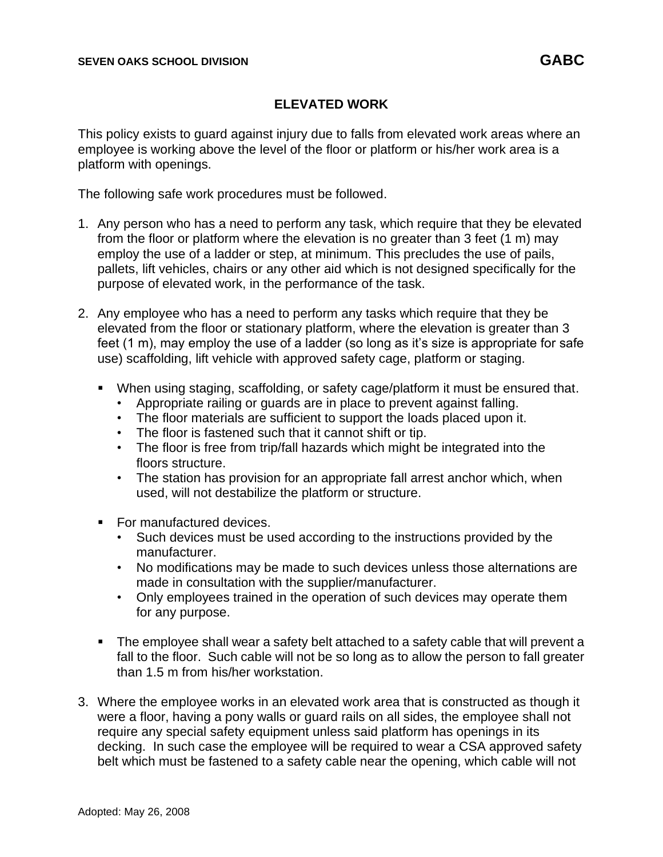## **ELEVATED WORK**

This policy exists to guard against injury due to falls from elevated work areas where an employee is working above the level of the floor or platform or his/her work area is a platform with openings.

The following safe work procedures must be followed.

- 1. Any person who has a need to perform any task, which require that they be elevated from the floor or platform where the elevation is no greater than 3 feet (1 m) may employ the use of a ladder or step, at minimum. This precludes the use of pails, pallets, lift vehicles, chairs or any other aid which is not designed specifically for the purpose of elevated work, in the performance of the task.
- 2. Any employee who has a need to perform any tasks which require that they be elevated from the floor or stationary platform, where the elevation is greater than 3 feet (1 m), may employ the use of a ladder (so long as it's size is appropriate for safe use) scaffolding, lift vehicle with approved safety cage, platform or staging.
	- When using staging, scaffolding, or safety cage/platform it must be ensured that.
		- Appropriate railing or guards are in place to prevent against falling.
		- The floor materials are sufficient to support the loads placed upon it.
		- The floor is fastened such that it cannot shift or tip.
		- The floor is free from trip/fall hazards which might be integrated into the floors structure.
		- The station has provision for an appropriate fall arrest anchor which, when used, will not destabilize the platform or structure.
	- For manufactured devices.
		- Such devices must be used according to the instructions provided by the manufacturer.
		- No modifications may be made to such devices unless those alternations are made in consultation with the supplier/manufacturer.
		- Only employees trained in the operation of such devices may operate them for any purpose.
	- The employee shall wear a safety belt attached to a safety cable that will prevent a fall to the floor. Such cable will not be so long as to allow the person to fall greater than 1.5 m from his/her workstation.
- 3. Where the employee works in an elevated work area that is constructed as though it were a floor, having a pony walls or guard rails on all sides, the employee shall not require any special safety equipment unless said platform has openings in its decking. In such case the employee will be required to wear a CSA approved safety belt which must be fastened to a safety cable near the opening, which cable will not